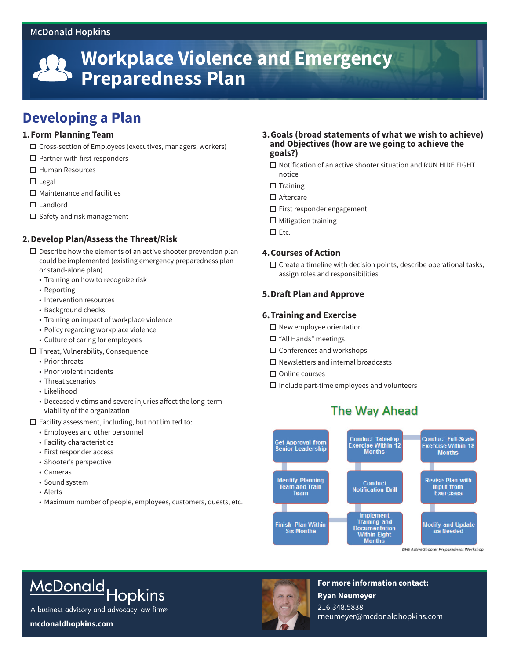#### **McDonald Hopkins**



## **Developing a Plan**

#### **1.Form Planning Team**

- $\square$  Cross-section of Employees (executives, managers, workers)
- $\Box$  Partner with first responders
- □ Human Resources
- $\Box$  Legal
- $\Box$  Maintenance and facilities
- □ Landlord
- $\square$  Safety and risk management

#### **2.Develop Plan/Assess the Threat/Risk**

- $\square$  Describe how the elements of an active shooter prevention plan could be implemented (existing emergency preparedness plan or stand-alone plan)
	- Training on how to recognize risk
	- Reporting
	- Intervention resources
	- Background checks
	- Training on impact of workplace violence
	- Policy regarding workplace violence
	- Culture of caring for employees
- $\Box$  Threat, Vulnerability, Consequence
	- Prior threats
	- Prior violent incidents
	- Threat scenarios
	- Likelihood
	- Deceased victims and severe injuries affect the long-term viability of the organization

 $\Box$  Facility assessment, including, but not limited to:

- Employees and other personnel
- Facility characteristics
- First responder access
- Shooter's perspective
- Cameras
- Sound system
- Alerts
- Maximum number of people, employees, customers, quests, etc.
- **3.Goals (broad statements of what we wish to achieve) and Objectives (how are we going to achieve the goals?)**
	- $\square$  Notification of an active shooter situation and RUN HIDE FIGHT notice
	- $\square$  Training
	- □ Aftercare
	- $\Box$  First responder engagement
	- $\Box$  Mitigation training
	- $\square$  Etc.

#### **4.Courses of Action**

 $\square$  Create a timeline with decision points, describe operational tasks, assign roles and responsibilities

#### **5.Draft Plan and Approve**

#### **6.Training and Exercise**

- $\square$  New employee orientation
- $\Box$  "All Hands" meetings
- $\square$  Conferences and workshops
- $\Box$  Newsletters and internal broadcasts
- $\square$  Online courses
- $\Box$  Include part-time employees and volunteers

### The Way Ahead



DHS Active Shooter Preparedness Workshop

# McDonald Hopkins

A business advisory and advocacy law firm®

**mcdonaldhopkins.com**



**For more information contact: Ryan Neumeyer** 216.348.5838 rneumeyer@mcdonaldhopkins.com